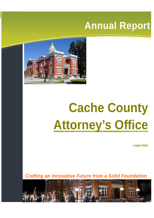

# **Cache County Attorney's Office**

**Logan Utah**

**Crafting an Innovative Future from a Solid Foundation**

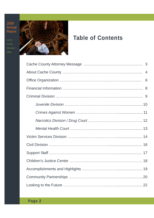

### **Table of Contents**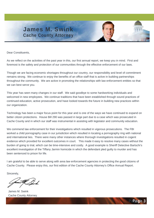### **James M. Swink Cache County Attorney**

Dear Constituents,

As we reflect on the activities of the past year in this, our first annual report, we keep you in mind. First and foremost is the safety and protection of our communities through the effective enforcement of our laws.

Though we are facing economic shortages throughout our country, our responsibility and level of commitment remains strong. We continue to enjoy the benefits of an office staff that is active in building partnerships throughout the community. We are active in promoting the relationships with law enforcement entities so that we can best serve you.

This year has seen many changes in our staff. We said goodbye to some hardworking individuals and welcomed in new employees. We continue traditions that have been established through sound practices of continued education, active prosecution, and have looked towards the future in building new practices within our organization.

Technology has been a major focus point for this year and is one of the ways we have continued to expand on better citizen protections. House Bill 290 was passed in large part due to a case which was prosecuted in Cache County and in which our staff was instrumental in assisting with legislator and community education.

We commend law enforcement for their investigations which resulted in vigorous prosecutions. The FBI worked a child pornography case in our jurisdiction which resulted in locating a pornography ring with national and international ties. There were many other instances where thorough investigations resulted in cogent evidence which provided for excellent outcomes in court. This made it easy to resolve many cases without the burden of going to trial, which can be time-intensive and costly. A good example is Sheriff Detective Bartschi's excellent investigation of the Tiffany Jarmin homicide in which the defendant pled guilty to murder and has been sentenced to prison for life.

I am grateful to be able to serve along with area law enforcement agencies in protecting the good citizens of Cache County. Please enjoy this, our first edition of the Cache County Attorney's Office Annual Report.

Sincerely,

James M. Swink Cache County Attorney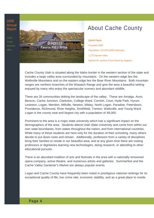**Cache** County Attorney's **Office** 



### About Cache County

**Quick Facts:** 

Founded 1856 Population 115,269 (2009 estimate) 1,173 square miles Named for caches of furs found by trappers

Cache County Utah is situated along the Idaho border in the western section of the state and includes a large valley area surrounded by mountains. On the western edge lies the Wellsville Mountains and on the eastern edge lies the Bear River Mountains. Both mountain ranges are northern branches of the Wasatch Range and give the area a beautiful setting enjoyed by many who enjoy the spectacular scenery and abundant wildlife.

There are 26 communities dotting the landscape of the valley. These are Amalga, Avon, Benson, Cache Junction, Clarkston, College Ward, Cornish, Cove, Hyde Park, Hyrum, Lewiston, Logan, Mendon, Millville, Newton, Nibley, North Logan, Paradise, Petersboro, Providence, Richmond, River Heights, Smithfield, Trenton, Wellsville, and Young Ward. Logan is the county seat and largest city with a population of 48,000.

Prominent to the area is a major state university which has a significant impact on the demographics of the area. Students attend Utah State University and come from within our own state boundaries, from states throughout the nation, and from international countries. While many of these students are here only for the duration of their schooling, many others decide to put down roots and remain. Additionally, professors from a variety of disciplines bring their families to reside in our beautiful area, and at any given time there are visiting professors or dignitaries learning new technologies, doing research, or attending to other educational pursuits.

There is an abundant tradition of arts and festivals in the area with a nationally renowned opera company, active theatre, and numerous artists and galleries. Summerfest and the Cache Valley Gardener's Market are always popular events.

Logan and Cache County have frequently been noted in prestigious national rankings for its exceptional quality of life, low crime rate, economic stability, and as a great place to reside.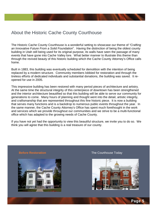### About the Historic Cache County Courthouse

The Historic Cache County Courthouse is a wonderful setting to showcase our theme of "Crafting" an Innovative Future From a Solid Foundation". Having the distinction of being the oldest county building in Utah still being used for its original purpose, its walls have seen the passage of many events that have gone into Cache Valley lore. What better manner to illustrate this theme than through the revived beauty of this historic building which the Cache County Attorney's Office calls home.

Built in 1883, this building was eventually scheduled for demolition with the intention of being replaced by a modern structure. Community members lobbied for restoration and through the tireless efforts of dedicated individuals and substantial donations, the building was saved. It reopened for use in 2005.

This impressive building has been restored with many period pieces of architecture and artistry. At the same time the structural integrity of this centerpiece of downtown has been strengthened and the interior architecture beautified so that this building will be able to serve our community for generations to come. Many hours of planning and thought went into the detail, artistic integrity, and craftsmanship that are represented throughout this fine historic piece. It is now a building that serves many functions and is a backdrop to numerous public events throughout the year. In the same manner, the Cache County Attorney's Office has spent much forethought in the work and services which we provide throughout our communities and we strive to be a multi-functional office which has adapted to the growing needs of Cache County.

If you have not yet had the opportunity to view this beautiful structure, we invite you to do so. We think you will agree that this building is a real treasure of our county.



#### **Before Restoration** The Courthouse Today



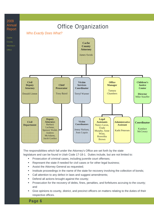

The responsibilities which fall under the Attorney's Office are set forth by the state legislature and can be found in Utah Code 17-18-1. Duties include, but are not limited to:

- **Prosecution of criminal cases, including juvenile court offenses;**
- **Represent the state if needed for civil cases or for other legal business;**
- **Assist the Attorney General as requested;**
- **Institute proceedings in the name of the state for recovery involving the collection of bonds;**
- Call attention to any defect in laws and suggest amendments;
- Defend all actions brought against the county;
- **Prosecution for the recovery of debts, fines, penalties, and forfeitures accruing to the county;** and
- Give opinions to county, district, and precinct officers on matters relating to the duties of their respective offices.

**Page 6**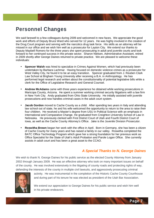### **Personnel Changes**

We said farewell to a few colleagues during 2009 and welcomed in new faces. We appreciate the good work and efforts of Deputy Bruce Ward who served for 12 years. He was highly involved in the creation of the Drug Court program and serving with the narcotics drug task force. His skills as an attorney will be missed in our office and we wish him well as a prosecutor for Layton City. We extend our thanks to Deputy Maybell Romero for the three years she spent prosecuting in adult and juvenile courts and look forward to her continued success in the private sector. Sharon Nielsen, Administrative Assistant, retired in 2009 shortly after George Daines returned to private practice. We are pleased to welcome these individuals:

- **Spencer Walsh** was hired to specialize in Crimes Against Women, which had previously been undertaken by Barbara Lachmar. Having focused on domestic violence crimes as a prosecutor for West Valley City, he found it to be an easy transition. Spencer graduated from J. Reuben Clark Law School at Brigham Young University after receiving a B.A. in Anthropology. He has performed legal research and written about the constitutionality of potential legislative bills while a clerk for the Office of Legislative Research and General Counsel.
- **Andrew McAdams** came with three years experience he obtained while working prosecutions in Maricopa County, Arizona. He spent a summer working criminal security litigations with a law firm in New York City. Andy graduated from Ohio State University. He initially assisted with juvenile prosecutions and now handles criminal cases in the adult court system.
- **Jacob Gordon** moved to Cache County as a child. After spending two years in Italy and attending law school out of state, he and his wife welcomed the opportunity to return to the area to raise their four children. He received a Master's degree from USU in Political Science with an emphasis in International and Comparative Change. He graduated from Creighton University School of Law in Nebraska. He previously clerked with First District Court of Utah and Fourth District Court of Iowa, as well as the Cache County Attorney's Office. Jake is the Juvenile Division Prosecutor.
- **Roswitha Brown** began her work with the office in April. Born in Germany, she has been a citizen of Cache County for many years and has raised a family in our valley. Roswitha completed the BATC Office Technology Program which gave her a strong foundation for her previous work as Office Specialist for the State of Utah's Adult Probation and Parole Logan Office. She currently assists in adult court and has been a great asset to the CCAO.

#### **A Special Thanks to N. George Daines**

We wish to thank N. George Daines for his public service as the elected County Attorney from January 2002 through January 2009. He was an effective attorney who took on many important issues on behalf of the county. He was involved extensively in the litigating of county roads and protecting rights of way, defending the interests of the county in multiple civil lawsuits, and aggressively prosecuting criminal



activity. He was instrumental in the completion of the Historic Cache County Courthouse and during part of his tenure he was elected as president of the Utah Bar Association.

 We extend our appreciation to George Daines for his public service and wish him well in his private endeavors.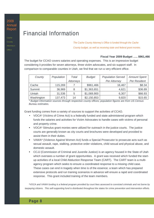Cache **County** Attorney's **Office** 

### Financial Information

The Cache County Attorney's Office is funded through the Cache County budget, as well as receiving state and federal grant monies.

#### **Fiscal Year 2009 Budget ….. \$961,466**

The budget for CCAO covers salaries and operating expenses. This is an impressive budget considering it provides for seven attorneys, three victim advocates, and six support staff. In comparison to comparable counties in Utah, we find that we run a very efficient office.

| County     | Population | Total     | <b>Budget</b> | <b>Population Served</b> | <b>Amount Spent</b> |
|------------|------------|-----------|---------------|--------------------------|---------------------|
|            |            | Attorneys |               | Per Attorney             | Per Resident        |
| Cache      | 115,269    |           | \$961,466     | 16,467                   | \$8.34              |
| Summit     | 36,969     | 8         | \$1,363,651   | 4,621                    | \$36.89             |
| Uintah     | 31,536     | 5         | \$1,069,900   | 6,307                    | \$66.93             |
| Washington | 137,473    | 14        | \$2,150,853   | 9,820                    | \$15.65             |

Budget Information sources through respective county offices; population figures are from US Census Bureau estimates.

Grant funding comes from a variety of sources to support the activities of CCAO.

- VOCA\* (Victims of Crime Act) is a federally funded and state administered program which funds the salaries and activities for Victim Advocates to handle cases with victims of personal and property crime.
- VOCA\* Stimulus grant monies were utilized for outreach in the justice courts. The justice courts are generally known as city courts and brochures were developed and provided to assist them in their duties.
- VAWA\* (Violence Against Women Act) funds a Special Prosecutor to prosecute acts such as sexual assault, rape, stalking, protective order violations, child sexual and physical abuse, and domestic assault.
- CCJJ (Commission of Criminal and Juvenile Justice) is an agency housed in the State of Utah which oversees a number of grant opportunities. A grant was received which funded the startup activities of a local Child Abduction Response Team (CART). The CART team is a multiagency program which seeks to ensure a coordinated response to a missing child case. These cases can end in tragedy when time is of the essence; a team which has prepared extensive protocols and run training scenarios in advance will ensure a rapid and coordinated response. This grant included training of the team members.

\*VOCA and VAWA funding is a federal program provided by court fees assessed to convicted criminals and not borne by taxpaying citizens. This self-supporting fund is distributed throughout the states for crime prevention and intervention efforts.

#### **Page 8**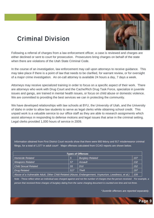### **Criminal Division**



Following a referral of charges from a law enforcement officer, a case is reviewed and charges are either declined or sent to court for prosecution. Prosecutors bring charges on behalf of the state when there are violations of the Utah State Criminal Code.

In the course of an investigation, law enforcement may call upon attorneys to receive guidance. This may take place if there is a point of law that needs to be clarified, for warrant review, or for oversight of a major crime investigation. An on-call attorney is available 24 hours a day, 7 days a week.

Attorneys may receive specialized training in order to focus on a specific aspect of their work. There are attorneys who work with Drug Court and the Cache/Rich Drug Task Force, specialize in juvenile issues and gangs, are trained in mental health issues, or focus on child abuse or domestic violence. We are committed to providing the best services we can in protecting the community.

We have developed relationships with law schools at BYU, the University of Utah, and the University of Idaho in order to allow law students to serve as legal clerks while obtaining school credit. This unpaid work is a valuable service to our office staff as they are able to research assignments which assist attorneys in responding to defense motions and legal issues that arise in the criminal setting. Legal clerks provided 1,000 hours of service in 2009.

Information obtained from First District Court records show that there were 660 felony and 917 misdemeanor criminal filings, for a total of 1,577 in adult court\*. Major offenses calculated from CCAO reports are shown below.

| <b>Types of Offenses</b>                                                                                   |     |                         |     |  |
|------------------------------------------------------------------------------------------------------------|-----|-------------------------|-----|--|
| <b>Homicide Related</b>                                                                                    | 5   | <b>Burglary Related</b> | 107 |  |
| <b>Weapons Related</b>                                                                                     | 57  | Assault                 | 132 |  |
| Child Sexual Related                                                                                       | 55  | <b>DUI</b>              | 152 |  |
| Drug Related                                                                                               | 517 | <b>Theft</b>            | 197 |  |
| 109<br>Abuse of a Vulnerable Adult, Other Child Related (Abuse, Endangerment, Voyeurism, Lewdness, et al.) |     |                         |     |  |

Note - These reflect when an individual was charged against and not the number of charges that the person received. For example, a person that received three charges of burglary dating from the same charging document is counted one time and not three.

\*Juvenile offenses are reported separately.

**Page 9**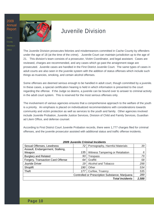Cache **County** Attorney's **Office** 



### Juvenile Division

The Juvenile Division prosecutes felonies and misdemeanors committed in Cache County by offenders under the age of 18 (at the time of the crime). Juvenile Court can maintain jurisdiction up to the age of 21. This division's team consists of a prosecutor, Victim Coordinator, and legal assistant. Cases are reviewed, charges are recommended, and any cases which go past the arraignment stage are prosecuted. Juvenile cases are handled in the First District Juvenile Court. The same types of cases in adult courts are also seen in the juvenile system with the addition of status offenses which include such things as truancies, smoking, and certain alcohol offenses.

Some offenses are deemed serious enough to be handled in adult court, though committed by a juvenile. In these cases, a special certification hearing is held in which information is presented to the court regarding the offense. If the Judge so deems, a juvenile can be bound over to answer to criminal activity in the adult court system. This is reserved for the most serious offenses only.

The involvement of various agencies ensures that a comprehensive approach to the welfare of the youth is a priority. An emphasis is placed on individualized recommendations with considerations towards community and victim protection as well as services to the youth and family. Other agencies involved include Juvenile Probation, Juvenile Justice Services, Division of Child and Family Services, Guardian ad Litem Office, and defense counsel.

According to First District Court Juvenile Probation records, there were 1,777 charges filed for criminal offenses, and the juvenile prosecutor assisted with additional status and traffic offense incidents.

| LUUJ UUTUMU VIIIIIIIIII IIIUIUUIILJ             |     |                                  |       |  |
|-------------------------------------------------|-----|----------------------------------|-------|--|
| Sexual Offenses, Lewdness                       | 72  | Pornography, Harmful Materials   | 39    |  |
| Assault, Endangerment, Stalking,                |     |                                  |       |  |
| Weapon                                          | 135 | Witness Tampering or Retaliation | 6     |  |
| <b>Burglary and Related</b>                     | 93  | Trespass                         | 79    |  |
| Forgery, Transaction Card Offense               | 64  | Graffiti                         | 58    |  |
| Joyride Driver                                  | 19  | Alcohol and Tobacco              | 298   |  |
| Shoplift                                        | 190 | Other                            | 534   |  |
| Theft                                           | 177 | Curfew, Truancy                  | 535   |  |
| Controlled or Prescription Substance, Marijuana |     |                                  | 289   |  |
|                                                 |     | <b>Total Incidents</b>           | 2,588 |  |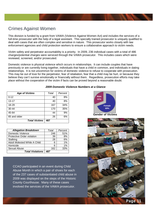### Crimes Against Women

This division is funded by a grant from VAWA (Violence Against Women Act) and includes the services of a full-time prosecutor with the help of a legal assistant. This specially trained prosecutor is uniquely qualified to deal with cases that are often complex and sensitive in nature. This prosecutor works closely with law enforcement agencies and child protection workers to ensure a collaborative approach to victim needs.

Victim safety and perpetrator accountability is a priority. In 2009, 236 individual cases with a total of 486 charges/potential charges were serviced through the VAWA prosecutor. This includes cases which were reviewed, screened, and/or prosecuted.

Domestic violence is physical violence which occurs in relationships. It can include couples that have previously or are currently living together, individuals that have a child in common, and individuals in dating relationships. It is not uncommon for victims of domestic violence to refuse to cooperate with prosecution. This may be out of love for the perpetrator, fear of retaliation, fear that a child may be hurt, or because they believe they can't survive emotionally or financially without them. Regardless, prosecution efforts may take place without the cooperation of the victim if facts can be proved beyond a reasonable doubt.

| <b>Age of Victims</b> | Total | Percent |
|-----------------------|-------|---------|
| $0 - 12$              | 40    | 8%      |
| $13 - 17$             | 40    | 8%      |
| 18-29                 | 167   | 34%     |
| $30 - 44$             | 170   | 35%     |
| 45-64                 | 44    | 9%      |
| 65 and older          | 26    | 6%      |
| <b>Total Victims</b>  | 487   |         |

| <b>Allegation Breakdown</b>  | Total | Percent |
|------------------------------|-------|---------|
| <b>Domestic Violence</b>     | 246   | 51%     |
| Protective Order violation   | 39    | 8%      |
| Stalking                     | 28    | 6%      |
| Adult Molested While A Child | 6     | 1%      |
| Homicide                     | 6     | 1%      |
| Sexual Abuse                 | 162   | 33%     |
| <b>Total Violations</b>      | 487   |         |

CCAO participated in an event during Child Abuse Month in which a pair of shoes for each of the 237 cases of substantiated child abuse in 2009 was displayed on the steps of the Historic County Courthouse. Many of these cases involved the services of the VAWA prosecutor.

#### **2009 Domestic Violence Numbers at a Glance**



**Gender of Victims**

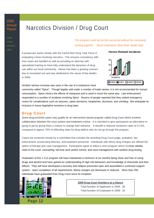**Cache County** Attorney's **Office** 

### Narcotics Division / Drug Court

This program could not be this successful without the community working together… Sheryl Andreasen, Bear River Health Dept

A prosecutor works closely with the Cache-Rich Drug Task Force in evaluating crimes involving narcotics. This ensures consistency with how cases are handled as well as providing an attorney with specialized training to more fully understand the dynamics of drug use within our local community. Heroin has been a growing concern due to increased use and was attributed to the cause of five deaths in 2009.

#### **Heroin Related Incidents**



Another serious increase was seen in the use of a substance most

commonly called "Spice". Though legally sold under a number of trade names, it is not recommended for human consumption. Spice mimics the effects of marijuana and is used in much the same way. Law enforcement responded to a number of incidents involving Spice. Dozens of people reported that they visited emergency rooms for complications such as seizures, upset stomachs, headaches, dizziness, and vomiting. We anticipate its inclusion in future legislative revisions to drug laws.

#### **Drug Court**

Some drug-involved cases may qualify for an intervention-based program called Drug Court which involves collaboration between the court system and treatment entities. It is intended to give participants an alternative to going to jail by giving them a chance to change their behavior. A benefit is reduced recidivism rates of 6-12%, compared to approx 70% re-offending rates for drug addicts who do not go through the program.

Cases are screened closely by a committee that includes the presiding Drug Court judge, probation, law enforcement, prosecuting attorney, and treatment personnel. Individuals with felony drug charges are offered the option of therapy and case management. Participants agree to follow a strict program which involves weekly visits to the court, counseling, full-time work and/or school, and case management with random drug testing.

Graduates of this 1-3 yr program will have maintained a minimum of six months being clean and free of using drugs and alcohol and have gained an understanding of high risk behaviors and knowledge of chemicals and their effects. They will have developed a recovery and relapse prevention plan and assembled a continued support system. Upon completion of all requirements, felony charges are dismissed or reduced. More than 250 individuals have graduated from Drug Court since its inception.



#### **2009 Drug Court Numbers at a Glance**

Total Number of Applicants in 2009: 38 Total Number of Graduates in 2009: 33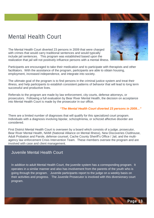### Mental Health Court

The Mental Health Court diverted 23 persons in 2009 that were charged with crimes that would carry traditional sentences and would typically include jail sentences. This program was established based upon the realization that jail will not positively influence persons with a mental illness.



Participants are encouraged to take their medication and to participate with therapists and other facilitators. With the assistance of the program, participants are able to obtain housing, employment, increased independence, and integrate into society.

The ultimate goal of the program is to find persons in the criminal justice system and treat their illness, and help participants to establish consistent patterns of behavior that will lead to long term successful and productive lives.

Referrals to the program are made by law enforcement, city courts, defense attorneys, or prosecutors. Following a full evaluation by Bear River Mental Health, the decision on acceptance into Mental Health Court is made by the prosecutor in our office.

#### **"The Mental Health Court diverted 23 persons in 2009…"**

There are a limited number of diagnoses that will qualify for this specialized court program. Individuals with a diagnosis involving bipolar, schizophrenia, or schizoid affective disorder are considered.

First District Mental Health Court is overseen by a board which consists of a judge, prosecutor, Bear River Mental Health, NAMI (National Alliance on Mental Illness), New Discoveries Clubhouse, Adult Probation and Parole, defense counsel, Cache County Sheriff's Office / Jail, and the multiagency law enforcement Crisis Intervention Team. These members oversee the program and are involved with case and client management.

#### Juvenile Mental Health Court

In addition to adult Mental Health Court, the juvenile system has a corresponding program. It operates in a similar manner and also has involvement from the parents of the youth who is going through the program. Juvenile participants report to the judge on a weekly basis on their activities and progress. The Juvenile Prosecutor is involved with this diversionary court program.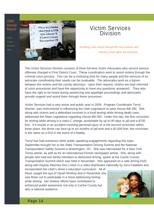**Cache County** Attorney's **Office** 



### Victim Services Division

Assisting crime victims through the court process and ensuring victim rights are protected.

The Victim Services Division consists of three full-time Victim Advocates who service serious offenses charged in First District Court. These coordinators work to assist victims through the criminal court process. This can be a confusing time for many people and the services of an advocate coordinating their needs can be invaluable. The advocates work as a liaison between the victims and the county attorneys. Upon their request, victims are kept informed of court procedures and have the opportunity to have any questions answered. They also have the right to be heard during sentencing and appellate proceedings and advocates provide support and assist them through these processes.

Victim Services had a very active and public year in 2009. Program Coordinator Terryl Warner, was instrumental in influencing the Utah Legislature to pass House Bill 290. She, along with victims and a defendant involved in a local texting while driving death case, addressed the State Legislature regarding House Bill 290. Under this law, the first conviction for texting while driving is a class-C charge, punishable by up to 90 days in jail and a \$750 fine. If it results in an accident involving personal injury or is the second conviction within three years, the driver can face up to six months of jail time and a \$1,000 fine; the conviction is the same as a DUI in the event of a fatality.

Terryl has had numerous other public speaking engagements regarding this topic. September brought her to the State Transportation Driving Summit and the National Transportation Safety Summit in Washington, DC. She was interviewed for a New York Times article, as well as for an international Finnish newspaper article. She, along with people who had lost family members to distracted driving, spoke at the Cache County Transportation Summit which was held in November. She appeared on a safe driving DVD along with Deputy Attorney Don Linton in a video distributed nationally by Zero Fatalities and

incorporated into Utah's driver's education curriculum. All of these caught the eye of Oprah Winfrey and in November she was flown out to participate in a show addressing texting while driving. Her tireless efforts have contributed to enhanced public awareness not only in Cache County but also a national audience.

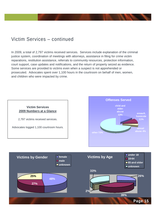### Victim Services – continued

In 2009, a total of 2,797 victims received services. Services include explanation of the criminal justice system, coordination of meetings with attorneys, assistance in filing for crime victim reparations, restitution assistance, referrals to community resources, protection information, court support, case updates and notifications, and the return of property seized as evidence. Some services are provided to victims even when a suspect is not apprehended or prosecuted. Advocates spent over 1,100 hours in the courtroom on behalf of men, women, and children who were impacted by crime.



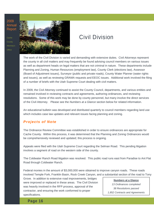**Cache County** Attorney's **Office** 



### Civil Division

The work of the Civil Division is varied and demanding with extensive duties. Civil Attorneys represent the county in all civil matters and may frequently be found advising council members on various issues as well as department heads on legal matters that are not criminal in nature. These departments include Planning and Zoning, Human Resources (employment law), County Clerk (elections law), Assessor (Board of Adjustment issues), Surveyor (public and private roads), County Water Planner (water rights and issues), as well as reviewing GRAMA requests and EEOC issues. Additional work involved the filing of a number of briefs with the Utah Supreme Court dealing with civil matters.

In 2009, the Civil Attorney continued to assist the County Council, departments, and various entities and remained involved in reviewing contracts and agreements, authoring ordinances, and reviewing resolutions. Some of this work may be done by county personnel, but many involve the direct services of the Civil Attorney. Please see the Numbers at a Glance section below for related information.

An educational bulletin was developed and distributed quarterly to council members regarding land use which includes case law updates and relevant issues facing planning and zoning.

#### **Projects of Note**

The Ordinance Review Committee was established in order to ensure ordinances are appropriate for Cache County. Within this process, it was determined that the Planning and Zoning Ordinances would be comprehensively reviewed and updated; this process is ongoing.

Appeals were filed with the Utah Supreme Court regarding the Selman Road. This pending litigation involves a segment of road on the western side of the county.

The Coldwater Ranch Road litigation was resolved. This public road runs east from Paradise to Ant Flat Road through Coldwater Ranch.

Federal monies in the amount of \$3,000,000 were obtained to improve canyon roads. These roads involved Temple Fork, Franklin Basin, Rock Creek Canyon, and a substantial section of the road to Tony

Grove. In addition to extensive road improvements, bridges were improved or replaced in these areas. The Civil Division was heavily involved in the RFP process, approval of the contractor, and ensuring the work conformed to proper specifications.

#### **Numbers at a Glance**

13 Ordinances completed 38 Resolutions passed 1,852 Contracts and Agreements

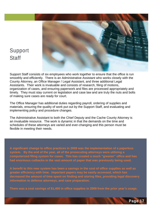

### Support **Staff**

Support Staff consists of six employees who work together to ensure that the office is run smoothly and efficiently. There is an Administrative Assistant who works closely with the County Attorney, an Office Manager / Legal Assistant, and three additional Legal Assistants. Their work is invaluable and consists of research, filing of motions, organization of cases, and ensuring paperwork and files are processed appropriately and timely. They must stay current on legislation and case law and are truly the nuts and bolts of making sure cases are ready for court.

The Office Manager has additional duties regarding payroll, ordering of supplies and materials, ensuring the quality of work put out by the Support Staff, and evaluating and implementing policy and procedure changes.

The Administrative Assistant to both the Chief Deputy and the Cache County Attorney is an invaluable resource. The work is dynamic in that the demands on the time and schedules of these attorneys are varied and ever-changing and this person must be flexible in meeting their needs.

**A significant change to office practices in 2009 was the implementation of a paperless system. By the end of the year, all of the prosecuting attorneys were utilizing a computerized filing system for cases. This has created a much "greener" office and has had enormous cutbacks in the vast amount of paper that was previously being used.** 

**A benefit to this new system has been a savings in the cost of office supplies as well as greater efficiency with time. Important papers may be easily accessed, which has decreased the amount of time spent on finding and storing files, providing legal discovery information to defense attorneys, and case preparation.** 

**There was a cost savings of \$1,400 in office supplies in 2009 from the prior year's usage.**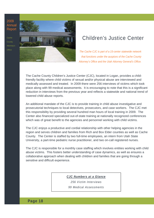**Cache County** Attorney's **Office** 



### Children's Justice Center

The Cache CJC is part of a 15-center statewide network that functions under the auspices of the Cache County Attorney's Office and the Utah Attorney General's Office.

The Cache County Children's Justice Center (CJC), located in Logan, provides a childfriendly facility where child victims of sexual and/or physical abuse are interviewed and medically assessed and treated. In 2009 there were 256 interviews of victims which took place along with 99 medical assessments. It is encouraging to note that this is a significant reduction in interviews from the previous year and reflects a statewide and national trend of lowered child abuse reports.

An additional mandate of the CJC is to provide training in child abuse investigative and prosecutorial techniques to local detectives, prosecutors, and case workers. The CJC met this responsibility by providing several hundred man hours of local training in 2009. The Center also financed specialized out-of-state training at nationally recognized conferences which was of great benefit to the agencies and personnel working with child victims.

The CJC enjoys a productive and cordial relationship with other helping agencies in the region and serves children and families from Rich and Box Elder counties as well as Cache County. The Center is staffed by two full-time employees, an intern from Utah State University, a part-time pediatric nurse practitioner, and two on-call registered nurses.

The CJC is responsible for a monthly case staffing which involves entities working with child abuse victims. This fosters better understanding of case dynamics, as well as ensures a collaborative approach when dealing with children and families that are going through a sensitive and difficult experience.

**CJC Numbers at a Glance**

256 Victim Interviews 99 Medical Assessments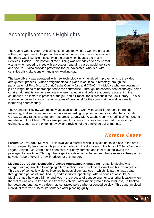### Accomplishments / Highlights

The Cache County Attorney's Office continued to evaluate working practices within the department. As part of this evaluation process, it was determined that there was insufficient security in the area which houses the Victim Services Division. This portion of the building was remodeled to ensure that victims who needed to meet with advocates regarding cases would feel safe and secure. It also provided protection for the advocates, who deal with sensitive crisis situations on any given working day.



The Law Library was upgraded with new technology which enabled improvements to the video arraignment process. Video arraignments take place in adult court remotely through the participation of First District Court, Cache County Jail, and CCAO. Individuals who are detained in jail no longer need to be transported to the courthouse. Through increased video technology, some court arraignments are done remotely wherein a judge and defense attorney is present in the courthouse, an inmate is present at the jail, and a Prosecutor is present in the Law Library. This is a convenience and is a cost saver in terms of personnel for the county jail, as well as greatly increasing court security.

The Ordinance Review Committee was established to work with council members in drafting, reviewing, and submitting recommendations regarding proposed ordinances. Members include CCAO, County Executive, Human Resources, County Clerk, Cache County Sheriff's Office, Council member and Fire Chief. Other items pertinent to county business are reviewed in addition to ordinances, such as the ongoing review and revision of the employee policy manual.

### **Notable Cases**

**Ferretti Court Case / Murder** – This involved a murder which likely did not take place in the area but subsequently became county jurisdiction following the discovery of the body of Tiffany Jarmin in Logan Canyon. Ms. Jarmin had been shot, her body dumped and later found following the passage of some time. Through the diligent efforts of law enforcement, the case was subsequently solved. Robert Ferretti is now in prison for this murder.

**Medina Court Case / Domestic Violence Aggravated Kidnapping** – Antonio Medina was charged with aggravated kidnapping after a malicious series of events involving his live-in girlfriend. This case of domestic violence involved heinous circumstances in which his partner was beaten throughout a period of time, tied up, and assaulted repeatedly. After a series of assaults, Mr. Medina stated he would kill her and was in the process of transporting her to another location when the victim was able to free herself from the vehicle. After running into a local business, he tracked her down but fortunately a citizen had contacted police who responded quickly. This gang-involved individual received a 15-to-life sentence after pleading guilty.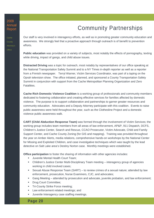**Cache County Office** 

### Community Partnerships

Our staff is very involved in interagency efforts, as well as in promoting greater community education and awareness. We strongly feel that a proactive approach through outreach is of benefit to prevention efforts.

**Public education** was provided on a variety of subjects, most notably the effects of pornography, texting while driving, impact of gangs, and child abuse issues.

**Distracted Driving** was a topic for outreach, most notably by representatives of our office speaking at the National Transportation Safety Summit and to a NY Times in-depth reporter as well as a reporter from a Finnish newspaper. Terryl Warner, Victim Services Coordinator, was part of a taping on the Oprah television show. The office initiated, planned, and sponsored a County Transportation Safety Summit in conjunction with support from the Cache Metropolitan Planning Organization and Zero Fatalities.

**Cache Rich Domestic Violence Coalition** is a working group of professionals and community members dedicated to fostering collaboration and creating effective services for families affected by domestic violence. The purpose is to support collaboration and partnerships to garner greater resources and community education. Advocates and a Deputy Attorney participate with this coalition. Events to raise public awareness were held throughout the year, such as the Clothesline Project and a domestic violence public awareness walk.

**CART (Child Abduction Response Team)** was formed through the involvement of Victim Services; the working group includes team members from all areas of law enforcement, AP&P, 911 Dispatch, DCFS, Children's Justice Center, Search and Rescue, CCAO Prosecutor, Victim Advocate, Child and Family Support Center, and Cache County Zoning (for GIS and mapping). Training was provided throughout the year on Amber Alerts, media relations, comprehensive hands-on workshops by the National Center for Missing and Exploited Children, and case investigative techniques which was taught by the lead detective on Salt Lake area's Destiny Norton case. Monthly meetings were established.

**Office participation** to foster the sharing of information with other agencies includes:

- Juvenile Mental Health Court Team;
- Children's Justice Center Multi-Disciplinary Team meeting interagency group of agencies working in child involved cases;
- Sexual Abuse Response Team (SART) to review crimes of a sexual nature; attended by law enforcement, prosecution, Nurse Examiners, CJC, and advocates;
- Gang Meeting attended by prosecution and advocate, juvenile probation, and law enforcement;
- **Drug Court Committee;**
- Tri-County Strike Force meeting;
- Law enforcement related meetings; and
- Juvenile Interagency case staffing meetings.

**Page 20**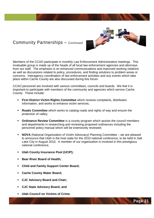### Community Partnerships – Continued



Members of the CCAO participate in monthly Law Enforcement Administrative meetings. This invaluable group is made up of the heads of all local law enforcement agencies and attorneys from our staff. The emphasis is on enhanced communications and improved working relations as well as discussions related to policy, procedures, and finding solutions to problem areas or concerns. Interagency coordination of law enforcement activities and any events which take place within Cache County are also discussed during this forum.

CCAO personnel are involved with various committees, councils and boards. We feel it is important to participate with members of the community and agencies which service Cache County. These include:

- **First District Victim Rights Committee** which reviews complaints, distributes information, and works to enhance victim services;
- **Roads Committee** which works to catalog roads and rights of way and ensure the protection of valley;
- **Ordinance Review Committee** is a county program which assists the council members and departments in researching and reviewing proposed ordinances including the personnel policy manual which will be extensively reviewed;
- **NOVA** (National Organization of Victim Advocacy) Planning Committee we are pleased to announce that Utah is the host state for the 2010 national conference, to be held in Salt Lake City in August 2010. A member of our organization is involved in this prestigious national conference;
- **Utah County Insurance Pool (UCIP);**
- **Bear River Board of Health;**
- **Child and Family Support Center Board;**
- **Cache County Water Board;**
- **CJC Advisory Board and Chair;**
- **CJC State Advisory Board; and**
- **Utah Council on Victims of Crime**.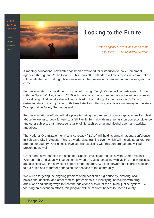**Cache County** Attorney's **Office** 



### Looking to the Future

"Be an opener of doors for such as come after them." Ralph Waldo Emerson

A monthly educational newsletter has been developed for distribution to law enforcement agencies throughout Cache County. This newsletter will address timely topics which we believe will benefit the hardworking officers involved in the prevention, intervention, and investigation of crime.

Further education will be done on distracted driving. Terryl Warner will be participating further with the Oprah Winfrey show in 2010 with the shooting of a commercial on the subject of texting while driving. Additionally she will be involved in the making of an educational DVD on distracted driving in conjunction with Zero Fatalities. Planning efforts are underway for the state Transportation Safety Summit as well.

Further educational efforts will take place targeting the dangers of pornography, as well as child abuse awareness. Look forward to a fall Family Summit with an emphasis on domestic violence and other subjects that impact our quality of life such as drug and alcohol use, gang activity, and abuse.

The National Organization for Victim Advocacy (NOVA) will hold its annual national conference in Salt Lake City in August. This is a world-class training event which will include speakers from around our country. Our office is involved with assisting with this conference, and will be presenting as well.

Grant funds have enabled the hiring of a Special Investigator to assist with Crimes Against Women. This individual will be doing follow-up on cases, speaking with victims and witnesses, and assisting with the service of papers on defendants. We look forward to this great addition to our office and to further enhancing our services to the community.

We will be targeting the ongoing problem of prescription drug abuse by involving local physicians, dentists, and other medical professionals in identifying individuals with drug addictions and finding ways to treat the addictions outside of the criminal justice system. By focusing on prevention efforts, this program will be of direct benefit to Cache County.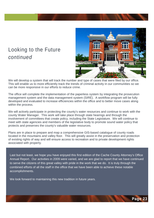### Looking to the Future continued



We will develop a system that will track the number and type of cases that were filed by our office. This will enable us to more efficiently track the trends of criminal activity in our communities so we can be more responsive in our efforts to reduce crime.

The office will complete the implementation of the paperless system by integrating the prosecution management system and the data management system (SIRE). A workflow program will be fully developed and evaluated to increase efficiencies within the office and to better move cases along within the process.

We will actively participate in protecting the county's water resources and continue to work with the county Water Manager. This work will take place through state hearings and through the involvement of committees that create policy, including the State Legislature. We will continue to meet with state agencies and members of the legislative body to promote sound water policy that protects and preserves the county's valuable water resources.

Plans are in place to prepare and map a comprehensive GIS-based catalogue of county roads located in the mountains and valley floor. This will greatly assist in the preservation and protection of existing rights of way and will ensure access to recreation and to private development rights associated with property.

Last but not least, we hope you have enjoyed this first edition of the Cache County Attorney's Office Annual Report. Our activities in 2009 were varied, and we are glad to report that we have continued to serve the citizens of this great valley with pride in the work that we do. It is truly through the combined efforts of all the staff in the office that we have been able to achieve these notable accomplishments.

We look forward to maintaining this new tradition in future years.